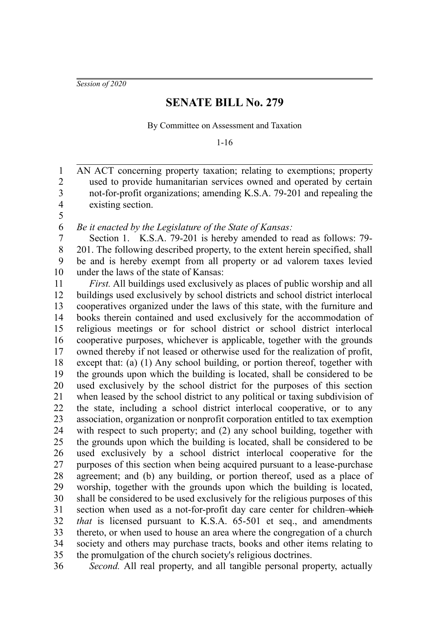*Session of 2020*

## **SENATE BILL No. 279**

By Committee on Assessment and Taxation

1-16

AN ACT concerning property taxation; relating to exemptions; property used to provide humanitarian services owned and operated by certain not-for-profit organizations; amending K.S.A. 79-201 and repealing the existing section. 1 2 3 4 5

*Be it enacted by the Legislature of the State of Kansas:* 6

Section 1. K.S.A. 79-201 is hereby amended to read as follows: 79- 201. The following described property, to the extent herein specified, shall be and is hereby exempt from all property or ad valorem taxes levied under the laws of the state of Kansas: 7 8 9 10

*First.* All buildings used exclusively as places of public worship and all buildings used exclusively by school districts and school district interlocal cooperatives organized under the laws of this state, with the furniture and books therein contained and used exclusively for the accommodation of religious meetings or for school district or school district interlocal cooperative purposes, whichever is applicable, together with the grounds owned thereby if not leased or otherwise used for the realization of profit, except that: (a) (1) Any school building, or portion thereof, together with the grounds upon which the building is located, shall be considered to be used exclusively by the school district for the purposes of this section when leased by the school district to any political or taxing subdivision of the state, including a school district interlocal cooperative, or to any association, organization or nonprofit corporation entitled to tax exemption with respect to such property; and (2) any school building, together with the grounds upon which the building is located, shall be considered to be used exclusively by a school district interlocal cooperative for the purposes of this section when being acquired pursuant to a lease-purchase agreement; and (b) any building, or portion thereof, used as a place of worship, together with the grounds upon which the building is located, shall be considered to be used exclusively for the religious purposes of this section when used as a not-for-profit day care center for children-which *that* is licensed pursuant to K.S.A. 65-501 et seq., and amendments thereto, or when used to house an area where the congregation of a church society and others may purchase tracts, books and other items relating to the promulgation of the church society's religious doctrines. 11 12 13 14 15 16 17 18 19 20 21 22 23 24 25 26 27 28 29 30 31 32 33 34 35

*Second.* All real property, and all tangible personal property, actually 36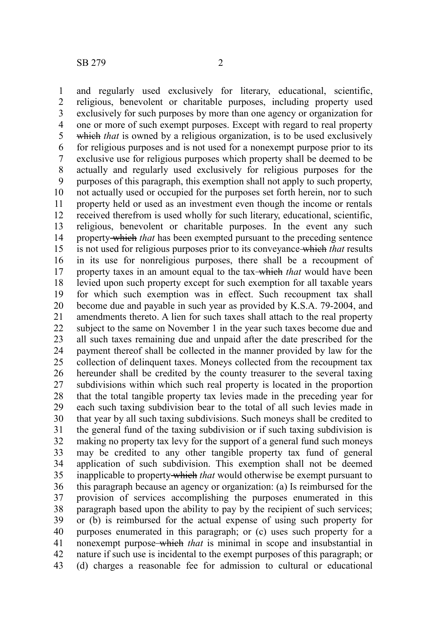and regularly used exclusively for literary, educational, scientific, religious, benevolent or charitable purposes, including property used exclusively for such purposes by more than one agency or organization for one or more of such exempt purposes. Except with regard to real property which *that* is owned by a religious organization, is to be used exclusively for religious purposes and is not used for a nonexempt purpose prior to its exclusive use for religious purposes which property shall be deemed to be actually and regularly used exclusively for religious purposes for the purposes of this paragraph, this exemption shall not apply to such property, not actually used or occupied for the purposes set forth herein, nor to such property held or used as an investment even though the income or rentals received therefrom is used wholly for such literary, educational, scientific, religious, benevolent or charitable purposes. In the event any such property which *that* has been exempted pursuant to the preceding sentence is not used for religious purposes prior to its conveyance which *that* results in its use for nonreligious purposes, there shall be a recoupment of property taxes in an amount equal to the tax which *that* would have been levied upon such property except for such exemption for all taxable years for which such exemption was in effect. Such recoupment tax shall become due and payable in such year as provided by K.S.A. 79-2004, and amendments thereto. A lien for such taxes shall attach to the real property subject to the same on November 1 in the year such taxes become due and all such taxes remaining due and unpaid after the date prescribed for the payment thereof shall be collected in the manner provided by law for the collection of delinquent taxes. Moneys collected from the recoupment tax hereunder shall be credited by the county treasurer to the several taxing subdivisions within which such real property is located in the proportion that the total tangible property tax levies made in the preceding year for each such taxing subdivision bear to the total of all such levies made in that year by all such taxing subdivisions. Such moneys shall be credited to the general fund of the taxing subdivision or if such taxing subdivision is making no property tax levy for the support of a general fund such moneys may be credited to any other tangible property tax fund of general application of such subdivision. This exemption shall not be deemed inapplicable to property which *that* would otherwise be exempt pursuant to this paragraph because an agency or organization: (a) Is reimbursed for the provision of services accomplishing the purposes enumerated in this paragraph based upon the ability to pay by the recipient of such services; or (b) is reimbursed for the actual expense of using such property for purposes enumerated in this paragraph; or (c) uses such property for a nonexempt purpose which *that* is minimal in scope and insubstantial in nature if such use is incidental to the exempt purposes of this paragraph; or (d) charges a reasonable fee for admission to cultural or educational 1 2 3 4 5 6 7 8 9 10 11 12 13 14 15 16 17 18 19 20 21 22 23 24 25 26 27 28 29 30 31 32 33 34 35 36 37 38 39 40 41 42 43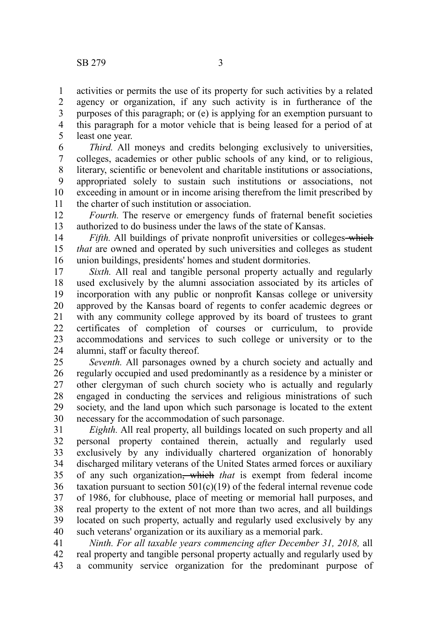activities or permits the use of its property for such activities by a related agency or organization, if any such activity is in furtherance of the purposes of this paragraph; or (e) is applying for an exemption pursuant to this paragraph for a motor vehicle that is being leased for a period of at least one year. 1 2 3 4 5

*Third.* All moneys and credits belonging exclusively to universities, colleges, academies or other public schools of any kind, or to religious, literary, scientific or benevolent and charitable institutions or associations, appropriated solely to sustain such institutions or associations, not exceeding in amount or in income arising therefrom the limit prescribed by the charter of such institution or association. 6 7 8 9 10 11

*Fourth.* The reserve or emergency funds of fraternal benefit societies authorized to do business under the laws of the state of Kansas. 12 13

*Fifth.* All buildings of private nonprofit universities or colleges-which *that* are owned and operated by such universities and colleges as student union buildings, presidents' homes and student dormitories. 14 15 16

*Sixth.* All real and tangible personal property actually and regularly used exclusively by the alumni association associated by its articles of incorporation with any public or nonprofit Kansas college or university approved by the Kansas board of regents to confer academic degrees or with any community college approved by its board of trustees to grant certificates of completion of courses or curriculum, to provide accommodations and services to such college or university or to the alumni, staff or faculty thereof. 17 18 19 20 21 22 23 24

*Seventh.* All parsonages owned by a church society and actually and regularly occupied and used predominantly as a residence by a minister or other clergyman of such church society who is actually and regularly engaged in conducting the services and religious ministrations of such society, and the land upon which such parsonage is located to the extent necessary for the accommodation of such parsonage. 25 26 27 28 29 30

*Eighth.* All real property, all buildings located on such property and all personal property contained therein, actually and regularly used exclusively by any individually chartered organization of honorably discharged military veterans of the United States armed forces or auxiliary of any such organization, which *that* is exempt from federal income taxation pursuant to section  $501(c)(19)$  of the federal internal revenue code of 1986, for clubhouse, place of meeting or memorial hall purposes, and real property to the extent of not more than two acres, and all buildings located on such property, actually and regularly used exclusively by any such veterans' organization or its auxiliary as a memorial park. 31 32 33 34 35 36 37 38 39 40

*Ninth. For all taxable years commencing after December 31, 2018,* all real property and tangible personal property actually and regularly used by a community service organization for the predominant purpose of 41 42 43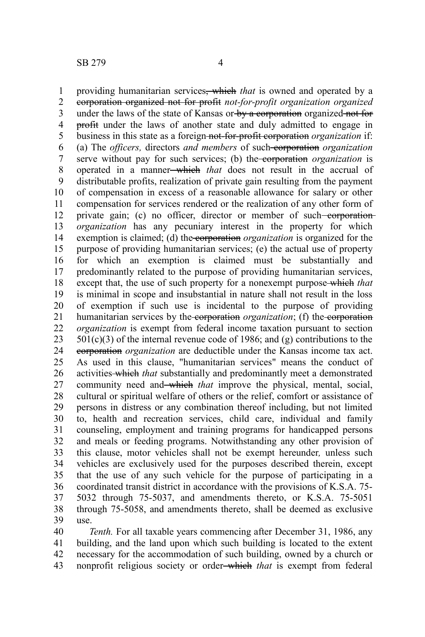providing humanitarian services, which *that* is owned and operated by a corporation organized not for profit *not-for-profit organization organized* under the laws of the state of Kansas or by a corporation organized not for profit under the laws of another state and duly admitted to engage in business in this state as a foreign not-for-profit corporation *organization* if: (a) The *officers,* directors *and members* of such corporation *organization* serve without pay for such services; (b) the corporation *organization* is operated in a manner which *that* does not result in the accrual of distributable profits, realization of private gain resulting from the payment of compensation in excess of a reasonable allowance for salary or other compensation for services rendered or the realization of any other form of private gain; (c) no officer, director or member of such-corporation*organization* has any pecuniary interest in the property for which exemption is claimed; (d) the corporation *organization* is organized for the purpose of providing humanitarian services; (e) the actual use of property for which an exemption is claimed must be substantially and predominantly related to the purpose of providing humanitarian services, except that, the use of such property for a nonexempt purpose-which *that* is minimal in scope and insubstantial in nature shall not result in the loss of exemption if such use is incidental to the purpose of providing humanitarian services by the corporation *organization*; (f) the corporation *organization* is exempt from federal income taxation pursuant to section  $501(c)(3)$  of the internal revenue code of 1986; and (g) contributions to the corporation *organization* are deductible under the Kansas income tax act. As used in this clause, "humanitarian services" means the conduct of activities which *that* substantially and predominantly meet a demonstrated community need and which *that* improve the physical, mental, social, cultural or spiritual welfare of others or the relief, comfort or assistance of persons in distress or any combination thereof including, but not limited to, health and recreation services, child care, individual and family counseling, employment and training programs for handicapped persons and meals or feeding programs. Notwithstanding any other provision of this clause, motor vehicles shall not be exempt hereunder*,* unless such vehicles are exclusively used for the purposes described therein, except that the use of any such vehicle for the purpose of participating in a coordinated transit district in accordance with the provisions of K.S.A. 75- 5032 through 75-5037, and amendments thereto, or K.S.A. 75-5051 through 75-5058, and amendments thereto, shall be deemed as exclusive use. 1 2 3 4 5 6 7 8 9 10 11 12 13 14 15 16 17 18 19 20 21 22 23 24 25 26 27 28 29 30 31 32 33 34 35 36 37 38 39

*Tenth.* For all taxable years commencing after December 31, 1986, any building, and the land upon which such building is located to the extent necessary for the accommodation of such building, owned by a church or nonprofit religious society or order which *that* is exempt from federal 40 41 42 43